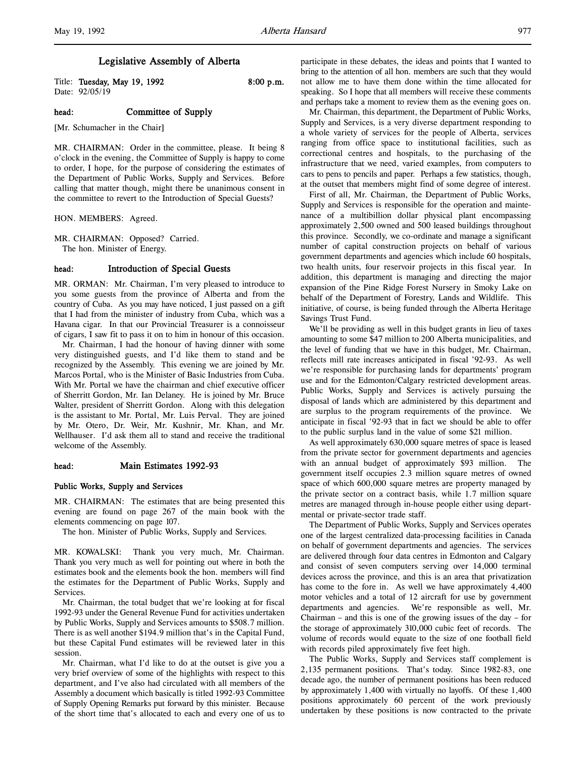# Legislative Assembly of Alberta

Title: Tuesday, May 19, 1992 8:00 p.m. Date: 92/05/19

# head: Committee of Supply

[Mr. Schumacher in the Chair]

MR. CHAIRMAN: Order in the committee, please. It being 8 o'clock in the evening, the Committee of Supply is happy to come to order, I hope, for the purpose of considering the estimates of the Department of Public Works, Supply and Services. Before calling that matter though, might there be unanimous consent in the committee to revert to the Introduction of Special Guests?

HON. MEMBERS: Agreed.

MR. CHAIRMAN: Opposed? Carried. The hon. Minister of Energy.

# head: Introduction of Special Guests

MR. ORMAN: Mr. Chairman, I'm very pleased to introduce to you some guests from the province of Alberta and from the country of Cuba. As you may have noticed, I just passed on a gift that I had from the minister of industry from Cuba, which was a Havana cigar. In that our Provincial Treasurer is a connoisseur of cigars, I saw fit to pass it on to him in honour of this occasion.

Mr. Chairman, I had the honour of having dinner with some very distinguished guests, and I'd like them to stand and be recognized by the Assembly. This evening we are joined by Mr. Marcos Portal, who is the Minister of Basic Industries from Cuba. With Mr. Portal we have the chairman and chief executive officer of Sherritt Gordon, Mr. Ian Delaney. He is joined by Mr. Bruce Walter, president of Sherritt Gordon. Along with this delegation is the assistant to Mr. Portal, Mr. Luis Perval. They are joined by Mr. Otero, Dr. Weir, Mr. Kushnir, Mr. Khan, and Mr. Wellhauser. I'd ask them all to stand and receive the traditional welcome of the Assembly.

# head: Main Estimates 1992-93

#### Public Works, Supply and Services

MR. CHAIRMAN: The estimates that are being presented this evening are found on page 267 of the main book with the elements commencing on page 107.

The hon. Minister of Public Works, Supply and Services.

MR. KOWALSKI: Thank you very much, Mr. Chairman. Thank you very much as well for pointing out where in both the estimates book and the elements book the hon. members will find the estimates for the Department of Public Works, Supply and Services.

Mr. Chairman, the total budget that we're looking at for fiscal 1992-93 under the General Revenue Fund for activities undertaken by Public Works, Supply and Services amounts to \$508.7 million. There is as well another \$194.9 million that's in the Capital Fund, but these Capital Fund estimates will be reviewed later in this session.

Mr. Chairman, what I'd like to do at the outset is give you a very brief overview of some of the highlights with respect to this department, and I've also had circulated with all members of the Assembly a document which basically is titled 1992-93 Committee of Supply Opening Remarks put forward by this minister. Because of the short time that's allocated to each and every one of us to

participate in these debates, the ideas and points that I wanted to bring to the attention of all hon. members are such that they would not allow me to have them done within the time allocated for speaking. So I hope that all members will receive these comments and perhaps take a moment to review them as the evening goes on.

Mr. Chairman, this department, the Department of Public Works, Supply and Services, is a very diverse department responding to a whole variety of services for the people of Alberta, services ranging from office space to institutional facilities, such as correctional centres and hospitals, to the purchasing of the infrastructure that we need, varied examples, from computers to cars to pens to pencils and paper. Perhaps a few statistics, though, at the outset that members might find of some degree of interest.

First of all, Mr. Chairman, the Department of Public Works, Supply and Services is responsible for the operation and maintenance of a multibillion dollar physical plant encompassing approximately 2,500 owned and 500 leased buildings throughout this province. Secondly, we co-ordinate and manage a significant number of capital construction projects on behalf of various government departments and agencies which include 60 hospitals, two health units, four reservoir projects in this fiscal year. In addition, this department is managing and directing the major expansion of the Pine Ridge Forest Nursery in Smoky Lake on behalf of the Department of Forestry, Lands and Wildlife. This initiative, of course, is being funded through the Alberta Heritage Savings Trust Fund.

We'll be providing as well in this budget grants in lieu of taxes amounting to some \$47 million to 200 Alberta municipalities, and the level of funding that we have in this budget, Mr. Chairman, reflects mill rate increases anticipated in fiscal '92-93. As well we're responsible for purchasing lands for departments' program use and for the Edmonton/Calgary restricted development areas. Public Works, Supply and Services is actively pursuing the disposal of lands which are administered by this department and are surplus to the program requirements of the province. We anticipate in fiscal '92-93 that in fact we should be able to offer to the public surplus land in the value of some \$21 million.

As well approximately 630,000 square metres of space is leased from the private sector for government departments and agencies with an annual budget of approximately \$93 million. The government itself occupies 2.3 million square metres of owned space of which 600,000 square metres are property managed by the private sector on a contract basis, while 1.7 million square metres are managed through in-house people either using departmental or private-sector trade staff.

The Department of Public Works, Supply and Services operates one of the largest centralized data-processing facilities in Canada on behalf of government departments and agencies. The services are delivered through four data centres in Edmonton and Calgary and consist of seven computers serving over 14,000 terminal devices across the province, and this is an area that privatization has come to the fore in. As well we have approximately 4,400 motor vehicles and a total of 12 aircraft for use by government departments and agencies. We're responsible as well, Mr. Chairman – and this is one of the growing issues of the day – for the storage of approximately 310,000 cubic feet of records. The volume of records would equate to the size of one football field with records piled approximately five feet high.

The Public Works, Supply and Services staff complement is 2,135 permanent positions. That's today. Since 1982-83, one decade ago, the number of permanent positions has been reduced by approximately 1,400 with virtually no layoffs. Of these 1,400 positions approximately 60 percent of the work previously undertaken by these positions is now contracted to the private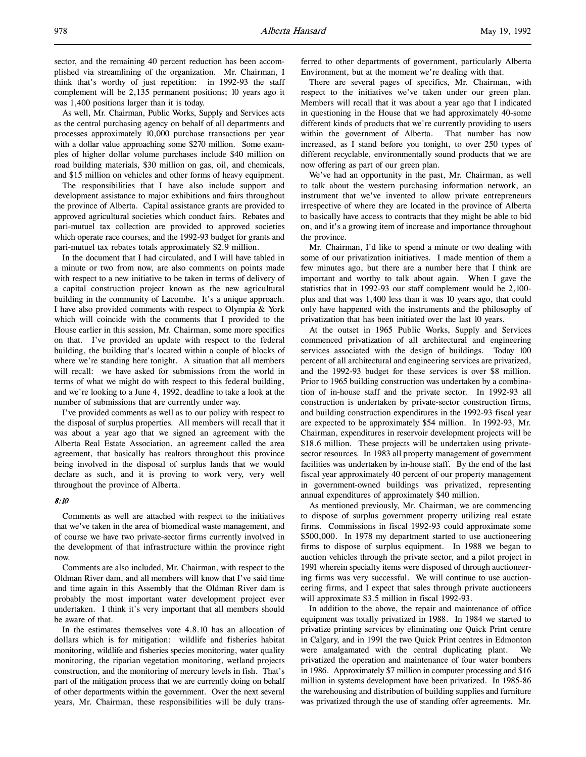As well, Mr. Chairman, Public Works, Supply and Services acts as the central purchasing agency on behalf of all departments and processes approximately 10,000 purchase transactions per year with a dollar value approaching some \$270 million. Some examples of higher dollar volume purchases include \$40 million on road building materials, \$30 million on gas, oil, and chemicals, and \$15 million on vehicles and other forms of heavy equipment.

The responsibilities that I have also include support and development assistance to major exhibitions and fairs throughout the province of Alberta. Capital assistance grants are provided to approved agricultural societies which conduct fairs. Rebates and pari-mutuel tax collection are provided to approved societies which operate race courses, and the 1992-93 budget for grants and pari-mutuel tax rebates totals approximately \$2.9 million.

In the document that I had circulated, and I will have tabled in a minute or two from now, are also comments on points made with respect to a new initiative to be taken in terms of delivery of a capital construction project known as the new agricultural building in the community of Lacombe. It's a unique approach. I have also provided comments with respect to Olympia & York which will coincide with the comments that I provided to the House earlier in this session, Mr. Chairman, some more specifics on that. I've provided an update with respect to the federal building, the building that's located within a couple of blocks of where we're standing here tonight. A situation that all members will recall: we have asked for submissions from the world in terms of what we might do with respect to this federal building, and we're looking to a June 4, 1992, deadline to take a look at the number of submissions that are currently under way.

I've provided comments as well as to our policy with respect to the disposal of surplus properties. All members will recall that it was about a year ago that we signed an agreement with the Alberta Real Estate Association, an agreement called the area agreement, that basically has realtors throughout this province being involved in the disposal of surplus lands that we would declare as such, and it is proving to work very, very well throughout the province of Alberta.

## 8:10

Comments as well are attached with respect to the initiatives that we've taken in the area of biomedical waste management, and of course we have two private-sector firms currently involved in the development of that infrastructure within the province right now.

Comments are also included, Mr. Chairman, with respect to the Oldman River dam, and all members will know that I've said time and time again in this Assembly that the Oldman River dam is probably the most important water development project ever undertaken. I think it's very important that all members should be aware of that.

In the estimates themselves vote 4.8.10 has an allocation of dollars which is for mitigation: wildlife and fisheries habitat monitoring, wildlife and fisheries species monitoring, water quality monitoring, the riparian vegetation monitoring, wetland projects construction, and the monitoring of mercury levels in fish. That's part of the mitigation process that we are currently doing on behalf of other departments within the government. Over the next several years, Mr. Chairman, these responsibilities will be duly transferred to other departments of government, particularly Alberta Environment, but at the moment we're dealing with that.

There are several pages of specifics, Mr. Chairman, with respect to the initiatives we've taken under our green plan. Members will recall that it was about a year ago that I indicated in questioning in the House that we had approximately 40-some different kinds of products that we're currently providing to users within the government of Alberta. That number has now increased, as I stand before you tonight, to over 250 types of different recyclable, environmentally sound products that we are now offering as part of our green plan.

We've had an opportunity in the past, Mr. Chairman, as well to talk about the western purchasing information network, an instrument that we've invented to allow private entrepreneurs irrespective of where they are located in the province of Alberta to basically have access to contracts that they might be able to bid on, and it's a growing item of increase and importance throughout the province.

Mr. Chairman, I'd like to spend a minute or two dealing with some of our privatization initiatives. I made mention of them a few minutes ago, but there are a number here that I think are important and worthy to talk about again. When I gave the statistics that in 1992-93 our staff complement would be 2,100 plus and that was 1,400 less than it was 10 years ago, that could only have happened with the instruments and the philosophy of privatization that has been initiated over the last 10 years.

At the outset in 1965 Public Works, Supply and Services commenced privatization of all architectural and engineering services associated with the design of buildings. Today 100 percent of all architectural and engineering services are privatized, and the 1992-93 budget for these services is over \$8 million. Prior to 1965 building construction was undertaken by a combination of in-house staff and the private sector. In 1992-93 all construction is undertaken by private-sector construction firms, and building construction expenditures in the 1992-93 fiscal year are expected to be approximately \$54 million. In 1992-93, Mr. Chairman, expenditures in reservoir development projects will be \$18.6 million. These projects will be undertaken using privatesector resources. In 1983 all property management of government facilities was undertaken by in-house staff. By the end of the last fiscal year approximately 40 percent of our property management in government-owned buildings was privatized, representing annual expenditures of approximately \$40 million.

As mentioned previously, Mr. Chairman, we are commencing to dispose of surplus government property utilizing real estate firms. Commissions in fiscal 1992-93 could approximate some \$500,000. In 1978 my department started to use auctioneering firms to dispose of surplus equipment. In 1988 we began to auction vehicles through the private sector, and a pilot project in 1991 wherein specialty items were disposed of through auctioneering firms was very successful. We will continue to use auctioneering firms, and I expect that sales through private auctioneers will approximate \$3.5 million in fiscal 1992-93.

In addition to the above, the repair and maintenance of office equipment was totally privatized in 1988. In 1984 we started to privatize printing services by eliminating one Quick Print centre in Calgary, and in 1991 the two Quick Print centres in Edmonton were amalgamated with the central duplicating plant. privatized the operation and maintenance of four water bombers in 1986. Approximately \$7 million in computer processing and \$16 million in systems development have been privatized. In 1985-86 the warehousing and distribution of building supplies and furniture was privatized through the use of standing offer agreements. Mr.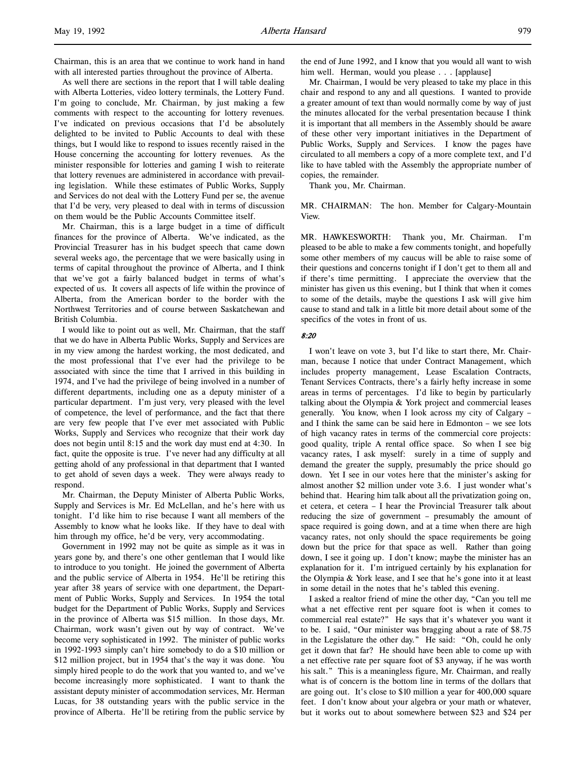Chairman, this is an area that we continue to work hand in hand with all interested parties throughout the province of Alberta.

As well there are sections in the report that I will table dealing with Alberta Lotteries, video lottery terminals, the Lottery Fund. I'm going to conclude, Mr. Chairman, by just making a few comments with respect to the accounting for lottery revenues. I've indicated on previous occasions that I'd be absolutely delighted to be invited to Public Accounts to deal with these things, but I would like to respond to issues recently raised in the House concerning the accounting for lottery revenues. As the minister responsible for lotteries and gaming I wish to reiterate that lottery revenues are administered in accordance with prevailing legislation. While these estimates of Public Works, Supply and Services do not deal with the Lottery Fund per se, the avenue that I'd be very, very pleased to deal with in terms of discussion on them would be the Public Accounts Committee itself.

Mr. Chairman, this is a large budget in a time of difficult finances for the province of Alberta. We've indicated, as the Provincial Treasurer has in his budget speech that came down several weeks ago, the percentage that we were basically using in terms of capital throughout the province of Alberta, and I think that we've got a fairly balanced budget in terms of what's expected of us. It covers all aspects of life within the province of Alberta, from the American border to the border with the Northwest Territories and of course between Saskatchewan and British Columbia.

I would like to point out as well, Mr. Chairman, that the staff that we do have in Alberta Public Works, Supply and Services are in my view among the hardest working, the most dedicated, and the most professional that I've ever had the privilege to be associated with since the time that I arrived in this building in 1974, and I've had the privilege of being involved in a number of different departments, including one as a deputy minister of a particular department. I'm just very, very pleased with the level of competence, the level of performance, and the fact that there are very few people that I've ever met associated with Public Works, Supply and Services who recognize that their work day does not begin until 8:15 and the work day must end at 4:30. In fact, quite the opposite is true. I've never had any difficulty at all getting ahold of any professional in that department that I wanted to get ahold of seven days a week. They were always ready to respond.

Mr. Chairman, the Deputy Minister of Alberta Public Works, Supply and Services is Mr. Ed McLellan, and he's here with us tonight. I'd like him to rise because I want all members of the Assembly to know what he looks like. If they have to deal with him through my office, he'd be very, very accommodating.

Government in 1992 may not be quite as simple as it was in years gone by, and there's one other gentleman that I would like to introduce to you tonight. He joined the government of Alberta and the public service of Alberta in 1954. He'll be retiring this year after 38 years of service with one department, the Department of Public Works, Supply and Services. In 1954 the total budget for the Department of Public Works, Supply and Services in the province of Alberta was \$15 million. In those days, Mr. Chairman, work wasn't given out by way of contract. We've become very sophisticated in 1992. The minister of public works in 1992-1993 simply can't hire somebody to do a \$10 million or \$12 million project, but in 1954 that's the way it was done. You simply hired people to do the work that you wanted to, and we've become increasingly more sophisticated. I want to thank the assistant deputy minister of accommodation services, Mr. Herman Lucas, for 38 outstanding years with the public service in the province of Alberta. He'll be retiring from the public service by

the end of June 1992, and I know that you would all want to wish him well. Herman, would you please . . . [applause]

Mr. Chairman, I would be very pleased to take my place in this chair and respond to any and all questions. I wanted to provide a greater amount of text than would normally come by way of just the minutes allocated for the verbal presentation because I think it is important that all members in the Assembly should be aware of these other very important initiatives in the Department of Public Works, Supply and Services. I know the pages have circulated to all members a copy of a more complete text, and I'd like to have tabled with the Assembly the appropriate number of copies, the remainder.

Thank you, Mr. Chairman.

MR. CHAIRMAN: The hon. Member for Calgary-Mountain View.

MR. HAWKESWORTH: Thank you, Mr. Chairman. I'm pleased to be able to make a few comments tonight, and hopefully some other members of my caucus will be able to raise some of their questions and concerns tonight if I don't get to them all and if there's time permitting. I appreciate the overview that the minister has given us this evening, but I think that when it comes to some of the details, maybe the questions I ask will give him cause to stand and talk in a little bit more detail about some of the specifics of the votes in front of us.

### 8:20

I won't leave on vote 3, but I'd like to start there, Mr. Chairman, because I notice that under Contract Management, which includes property management, Lease Escalation Contracts, Tenant Services Contracts, there's a fairly hefty increase in some areas in terms of percentages. I'd like to begin by particularly talking about the Olympia & York project and commercial leases generally. You know, when I look across my city of Calgary – and I think the same can be said here in Edmonton – we see lots of high vacancy rates in terms of the commercial core projects: good quality, triple A rental office space. So when I see big vacancy rates, I ask myself: surely in a time of supply and demand the greater the supply, presumably the price should go down. Yet I see in our votes here that the minister's asking for almost another \$2 million under vote 3.6. I just wonder what's behind that. Hearing him talk about all the privatization going on, et cetera, et cetera – I hear the Provincial Treasurer talk about reducing the size of government – presumably the amount of space required is going down, and at a time when there are high vacancy rates, not only should the space requirements be going down but the price for that space as well. Rather than going down, I see it going up. I don't know; maybe the minister has an explanation for it. I'm intrigued certainly by his explanation for the Olympia & York lease, and I see that he's gone into it at least in some detail in the notes that he's tabled this evening.

I asked a realtor friend of mine the other day, "Can you tell me what a net effective rent per square foot is when it comes to commercial real estate?" He says that it's whatever you want it to be. I said, "Our minister was bragging about a rate of \$8.75 in the Legislature the other day." He said: "Oh, could he only get it down that far? He should have been able to come up with a net effective rate per square foot of \$3 anyway, if he was worth his salt." This is a meaningless figure, Mr. Chairman, and really what is of concern is the bottom line in terms of the dollars that are going out. It's close to \$10 million a year for 400,000 square feet. I don't know about your algebra or your math or whatever, but it works out to about somewhere between \$23 and \$24 per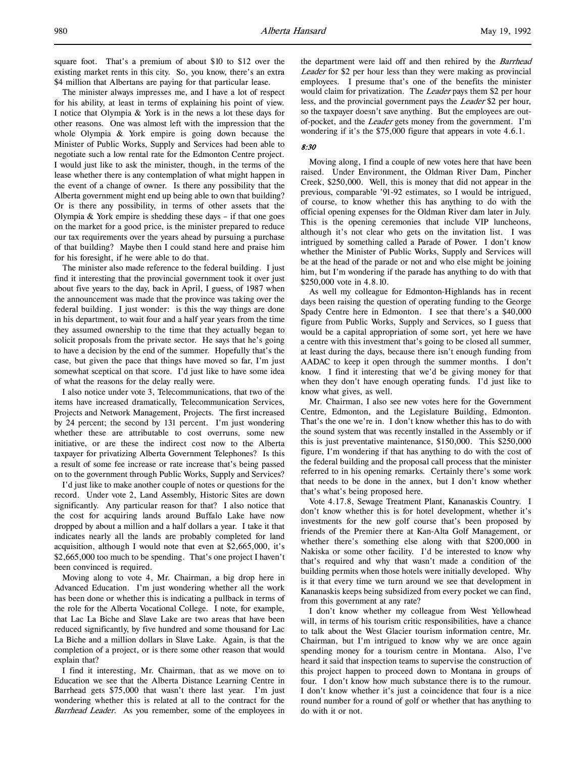square foot. That's a premium of about \$10 to \$12 over the existing market rents in this city. So, you know, there's an extra \$4 million that Albertans are paying for that particular lease.

The minister always impresses me, and I have a lot of respect for his ability, at least in terms of explaining his point of view. I notice that Olympia & York is in the news a lot these days for other reasons. One was almost left with the impression that the whole Olympia & York empire is going down because the Minister of Public Works, Supply and Services had been able to negotiate such a low rental rate for the Edmonton Centre project. I would just like to ask the minister, though, in the terms of the lease whether there is any contemplation of what might happen in the event of a change of owner. Is there any possibility that the Alberta government might end up being able to own that building? Or is there any possibility, in terms of other assets that the Olympia  $\&$  York empire is shedding these days – if that one goes on the market for a good price, is the minister prepared to reduce our tax requirements over the years ahead by pursuing a purchase of that building? Maybe then I could stand here and praise him for his foresight, if he were able to do that.

The minister also made reference to the federal building. I just find it interesting that the provincial government took it over just about five years to the day, back in April, I guess, of 1987 when the announcement was made that the province was taking over the federal building. I just wonder: is this the way things are done in his department, to wait four and a half year years from the time they assumed ownership to the time that they actually began to solicit proposals from the private sector. He says that he's going to have a decision by the end of the summer. Hopefully that's the case, but given the pace that things have moved so far, I'm just somewhat sceptical on that score. I'd just like to have some idea of what the reasons for the delay really were.

I also notice under vote 3, Telecommunications, that two of the items have increased dramatically, Telecommunication Services, Projects and Network Management, Projects. The first increased by 24 percent; the second by 131 percent. I'm just wondering whether these are attributable to cost overruns, some new initiative, or are these the indirect cost now to the Alberta taxpayer for privatizing Alberta Government Telephones? Is this a result of some fee increase or rate increase that's being passed on to the government through Public Works, Supply and Services?

I'd just like to make another couple of notes or questions for the record. Under vote 2, Land Assembly, Historic Sites are down significantly. Any particular reason for that? I also notice that the cost for acquiring lands around Buffalo Lake have now dropped by about a million and a half dollars a year. I take it that indicates nearly all the lands are probably completed for land acquisition, although I would note that even at \$2,665,000, it's \$2,665,000 too much to be spending. That's one project I haven't been convinced is required.

Moving along to vote 4, Mr. Chairman, a big drop here in Advanced Education. I'm just wondering whether all the work has been done or whether this is indicating a pullback in terms of the role for the Alberta Vocational College. I note, for example, that Lac La Biche and Slave Lake are two areas that have been reduced significantly, by five hundred and some thousand for Lac La Biche and a million dollars in Slave Lake. Again, is that the completion of a project, or is there some other reason that would explain that?

I find it interesting, Mr. Chairman, that as we move on to Education we see that the Alberta Distance Learning Centre in Barrhead gets \$75,000 that wasn't there last year. I'm just wondering whether this is related at all to the contract for the Barrhead Leader. As you remember, some of the employees in

the department were laid off and then rehired by the Barrhead Leader for \$2 per hour less than they were making as provincial employees. I presume that's one of the benefits the minister would claim for privatization. The Leader pays them \$2 per hour less, and the provincial government pays the Leader \$2 per hour, so the taxpayer doesn't save anything. But the employees are outof-pocket, and the Leader gets money from the government. I'm wondering if it's the \$75,000 figure that appears in vote 4.6.1.

# 8:30

Moving along, I find a couple of new votes here that have been raised. Under Environment, the Oldman River Dam, Pincher Creek, \$250,000. Well, this is money that did not appear in the previous, comparable '91-92 estimates, so I would be intrigued, of course, to know whether this has anything to do with the official opening expenses for the Oldman River dam later in July. This is the opening ceremonies that include VIP luncheons, although it's not clear who gets on the invitation list. I was intrigued by something called a Parade of Power. I don't know whether the Minister of Public Works, Supply and Services will be at the head of the parade or not and who else might be joining him, but I'm wondering if the parade has anything to do with that \$250,000 vote in 4.8.10.

As well my colleague for Edmonton-Highlands has in recent days been raising the question of operating funding to the George Spady Centre here in Edmonton. I see that there's a \$40,000 figure from Public Works, Supply and Services, so I guess that would be a capital appropriation of some sort, yet here we have a centre with this investment that's going to be closed all summer, at least during the days, because there isn't enough funding from AADAC to keep it open through the summer months. I don't know. I find it interesting that we'd be giving money for that when they don't have enough operating funds. I'd just like to know what gives, as well.

Mr. Chairman, I also see new votes here for the Government Centre, Edmonton, and the Legislature Building, Edmonton. That's the one we're in. I don't know whether this has to do with the sound system that was recently installed in the Assembly or if this is just preventative maintenance, \$150,000. This \$250,000 figure, I'm wondering if that has anything to do with the cost of the federal building and the proposal call process that the minister referred to in his opening remarks. Certainly there's some work that needs to be done in the annex, but I don't know whether that's what's being proposed here.

Vote 4.17.8, Sewage Treatment Plant, Kananaskis Country. I don't know whether this is for hotel development, whether it's investments for the new golf course that's been proposed by friends of the Premier there at Kan-Alta Golf Management, or whether there's something else along with that \$200,000 in Nakiska or some other facility. I'd be interested to know why that's required and why that wasn't made a condition of the building permits when those hotels were initially developed. Why is it that every time we turn around we see that development in Kananaskis keeps being subsidized from every pocket we can find, from this government at any rate?

I don't know whether my colleague from West Yellowhead will, in terms of his tourism critic responsibilities, have a chance to talk about the West Glacier tourism information centre, Mr. Chairman, but I'm intrigued to know why we are once again spending money for a tourism centre in Montana. Also, I've heard it said that inspection teams to supervise the construction of this project happen to proceed down to Montana in groups of four. I don't know how much substance there is to the rumour. I don't know whether it's just a coincidence that four is a nice round number for a round of golf or whether that has anything to do with it or not.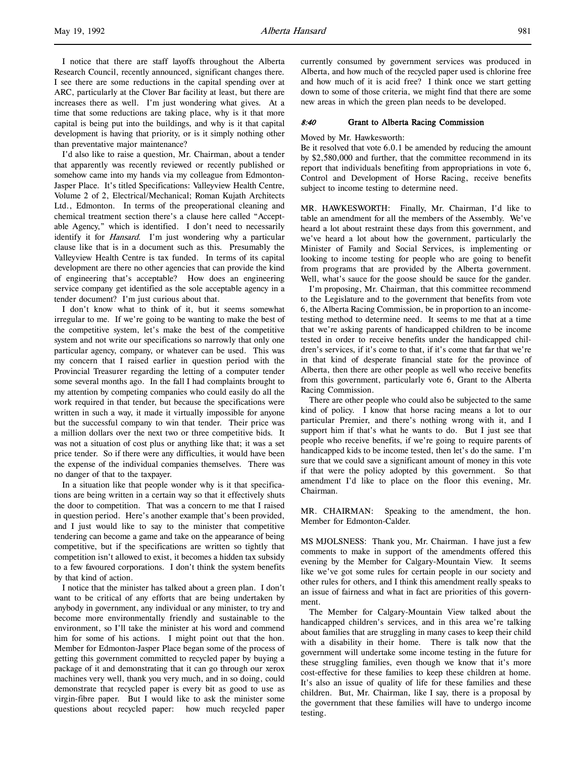I notice that there are staff layoffs throughout the Alberta Research Council, recently announced, significant changes there. I see there are some reductions in the capital spending over at ARC, particularly at the Clover Bar facility at least, but there are increases there as well. I'm just wondering what gives. At a time that some reductions are taking place, why is it that more capital is being put into the buildings, and why is it that capital development is having that priority, or is it simply nothing other than preventative major maintenance?

I'd also like to raise a question, Mr. Chairman, about a tender that apparently was recently reviewed or recently published or somehow came into my hands via my colleague from Edmonton-Jasper Place. It's titled Specifications: Valleyview Health Centre, Volume 2 of 2, Electrical/Mechanical; Roman Kujath Architects Ltd., Edmonton. In terms of the preoperational cleaning and chemical treatment section there's a clause here called "Acceptable Agency," which is identified. I don't need to necessarily identify it for *Hansard*. I'm just wondering why a particular clause like that is in a document such as this. Presumably the Valleyview Health Centre is tax funded. In terms of its capital development are there no other agencies that can provide the kind of engineering that's acceptable? How does an engineering service company get identified as the sole acceptable agency in a tender document? I'm just curious about that.

I don't know what to think of it, but it seems somewhat irregular to me. If we're going to be wanting to make the best of the competitive system, let's make the best of the competitive system and not write our specifications so narrowly that only one particular agency, company, or whatever can be used. This was my concern that I raised earlier in question period with the Provincial Treasurer regarding the letting of a computer tender some several months ago. In the fall I had complaints brought to my attention by competing companies who could easily do all the work required in that tender, but because the specifications were written in such a way, it made it virtually impossible for anyone but the successful company to win that tender. Their price was a million dollars over the next two or three competitive bids. It was not a situation of cost plus or anything like that; it was a set price tender. So if there were any difficulties, it would have been the expense of the individual companies themselves. There was no danger of that to the taxpayer.

In a situation like that people wonder why is it that specifications are being written in a certain way so that it effectively shuts the door to competition. That was a concern to me that I raised in question period. Here's another example that's been provided, and I just would like to say to the minister that competitive tendering can become a game and take on the appearance of being competitive, but if the specifications are written so tightly that competition isn't allowed to exist, it becomes a hidden tax subsidy to a few favoured corporations. I don't think the system benefits by that kind of action.

I notice that the minister has talked about a green plan. I don't want to be critical of any efforts that are being undertaken by anybody in government, any individual or any minister, to try and become more environmentally friendly and sustainable to the environment, so I'll take the minister at his word and commend him for some of his actions. I might point out that the hon. Member for Edmonton-Jasper Place began some of the process of getting this government committed to recycled paper by buying a package of it and demonstrating that it can go through our xerox machines very well, thank you very much, and in so doing, could demonstrate that recycled paper is every bit as good to use as virgin-fibre paper. But I would like to ask the minister some questions about recycled paper: how much recycled paper

currently consumed by government services was produced in Alberta, and how much of the recycled paper used is chlorine free and how much of it is acid free? I think once we start getting down to some of those criteria, we might find that there are some new areas in which the green plan needs to be developed.

## 8:40 Grant to Alberta Racing Commission

### Moved by Mr. Hawkesworth:

Be it resolved that vote 6.0.1 be amended by reducing the amount by \$2,580,000 and further, that the committee recommend in its report that individuals benefiting from appropriations in vote 6, Control and Development of Horse Racing, receive benefits subject to income testing to determine need.

MR. HAWKESWORTH: Finally, Mr. Chairman, I'd like to table an amendment for all the members of the Assembly. We've heard a lot about restraint these days from this government, and we've heard a lot about how the government, particularly the Minister of Family and Social Services, is implementing or looking to income testing for people who are going to benefit from programs that are provided by the Alberta government. Well, what's sauce for the goose should be sauce for the gander.

I'm proposing, Mr. Chairman, that this committee recommend to the Legislature and to the government that benefits from vote 6, the Alberta Racing Commission, be in proportion to an incometesting method to determine need. It seems to me that at a time that we're asking parents of handicapped children to be income tested in order to receive benefits under the handicapped children's services, if it's come to that, if it's come that far that we're in that kind of desperate financial state for the province of Alberta, then there are other people as well who receive benefits from this government, particularly vote 6, Grant to the Alberta Racing Commission.

There are other people who could also be subjected to the same kind of policy. I know that horse racing means a lot to our particular Premier, and there's nothing wrong with it, and I support him if that's what he wants to do. But I just see that people who receive benefits, if we're going to require parents of handicapped kids to be income tested, then let's do the same. I'm sure that we could save a significant amount of money in this vote if that were the policy adopted by this government. So that amendment I'd like to place on the floor this evening, Mr. Chairman.

MR. CHAIRMAN: Speaking to the amendment, the hon. Member for Edmonton-Calder.

MS MJOLSNESS: Thank you, Mr. Chairman. I have just a few comments to make in support of the amendments offered this evening by the Member for Calgary-Mountain View. It seems like we've got some rules for certain people in our society and other rules for others, and I think this amendment really speaks to an issue of fairness and what in fact are priorities of this government.

The Member for Calgary-Mountain View talked about the handicapped children's services, and in this area we're talking about families that are struggling in many cases to keep their child with a disability in their home. There is talk now that the government will undertake some income testing in the future for these struggling families, even though we know that it's more cost-effective for these families to keep these children at home. It's also an issue of quality of life for these families and these children. But, Mr. Chairman, like I say, there is a proposal by the government that these families will have to undergo income testing.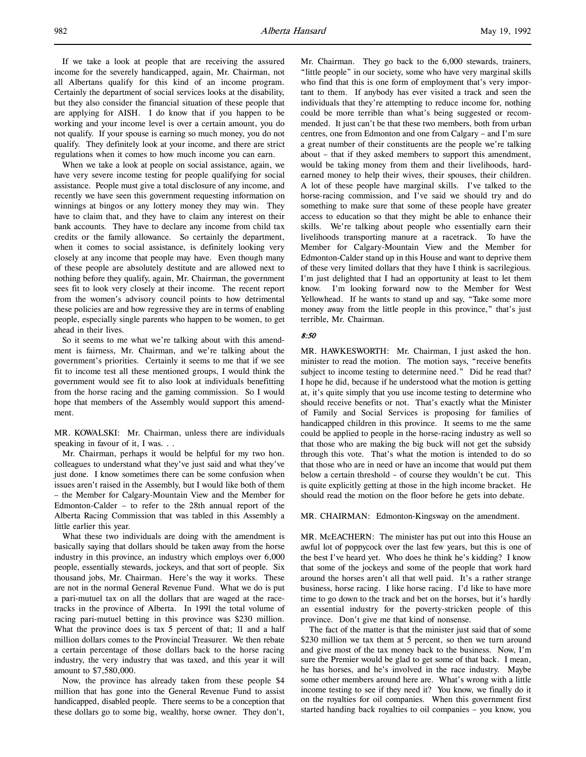If we take a look at people that are receiving the assured income for the severely handicapped, again, Mr. Chairman, not all Albertans qualify for this kind of an income program. Certainly the department of social services looks at the disability, but they also consider the financial situation of these people that are applying for AISH. I do know that if you happen to be working and your income level is over a certain amount, you do not qualify. If your spouse is earning so much money, you do not qualify. They definitely look at your income, and there are strict regulations when it comes to how much income you can earn.

When we take a look at people on social assistance, again, we have very severe income testing for people qualifying for social assistance. People must give a total disclosure of any income, and recently we have seen this government requesting information on winnings at bingos or any lottery money they may win. They have to claim that, and they have to claim any interest on their bank accounts. They have to declare any income from child tax credits or the family allowance. So certainly the department, when it comes to social assistance, is definitely looking very closely at any income that people may have. Even though many of these people are absolutely destitute and are allowed next to nothing before they qualify, again, Mr. Chairman, the government sees fit to look very closely at their income. The recent report from the women's advisory council points to how detrimental these policies are and how regressive they are in terms of enabling people, especially single parents who happen to be women, to get ahead in their lives.

So it seems to me what we're talking about with this amendment is fairness, Mr. Chairman, and we're talking about the government's priorities. Certainly it seems to me that if we see fit to income test all these mentioned groups, I would think the government would see fit to also look at individuals benefitting from the horse racing and the gaming commission. So I would hope that members of the Assembly would support this amendment.

MR. KOWALSKI: Mr. Chairman, unless there are individuals speaking in favour of it, I was. . .

Mr. Chairman, perhaps it would be helpful for my two hon. colleagues to understand what they've just said and what they've just done. I know sometimes there can be some confusion when issues aren't raised in the Assembly, but I would like both of them – the Member for Calgary-Mountain View and the Member for Edmonton-Calder – to refer to the 28th annual report of the Alberta Racing Commission that was tabled in this Assembly a little earlier this year.

What these two individuals are doing with the amendment is basically saying that dollars should be taken away from the horse industry in this province, an industry which employs over 6,000 people, essentially stewards, jockeys, and that sort of people. Six thousand jobs, Mr. Chairman. Here's the way it works. These are not in the normal General Revenue Fund. What we do is put a pari-mutuel tax on all the dollars that are waged at the racetracks in the province of Alberta. In 1991 the total volume of racing pari-mutuel betting in this province was \$230 million. What the province does is tax 5 percent of that; 11 and a half million dollars comes to the Provincial Treasurer. We then rebate a certain percentage of those dollars back to the horse racing industry, the very industry that was taxed, and this year it will amount to \$7,580,000.

Now, the province has already taken from these people \$4 million that has gone into the General Revenue Fund to assist handicapped, disabled people. There seems to be a conception that these dollars go to some big, wealthy, horse owner. They don't,

Mr. Chairman. They go back to the 6,000 stewards, trainers, "little people" in our society, some who have very marginal skills who find that this is one form of employment that's very important to them. If anybody has ever visited a track and seen the individuals that they're attempting to reduce income for, nothing could be more terrible than what's being suggested or recommended. It just can't be that these two members, both from urban centres, one from Edmonton and one from Calgary – and I'm sure a great number of their constituents are the people we're talking about – that if they asked members to support this amendment, would be taking money from them and their livelihoods, hardearned money to help their wives, their spouses, their children. A lot of these people have marginal skills. I've talked to the horse-racing commission, and I've said we should try and do something to make sure that some of these people have greater access to education so that they might be able to enhance their skills. We're talking about people who essentially earn their livelihoods transporting manure at a racetrack. To have the Member for Calgary-Mountain View and the Member for Edmonton-Calder stand up in this House and want to deprive them of these very limited dollars that they have I think is sacrilegious. I'm just delighted that I had an opportunity at least to let them know. I'm looking forward now to the Member for West Yellowhead. If he wants to stand up and say, "Take some more money away from the little people in this province," that's just terrible, Mr. Chairman.

## 8:50

MR. HAWKESWORTH: Mr. Chairman, I just asked the hon. minister to read the motion. The motion says, "receive benefits subject to income testing to determine need." Did he read that? I hope he did, because if he understood what the motion is getting at, it's quite simply that you use income testing to determine who should receive benefits or not. That's exactly what the Minister of Family and Social Services is proposing for families of handicapped children in this province. It seems to me the same could be applied to people in the horse-racing industry as well so that those who are making the big buck will not get the subsidy through this vote. That's what the motion is intended to do so that those who are in need or have an income that would put them below a certain threshold – of course they wouldn't be cut. This is quite explicitly getting at those in the high income bracket. He should read the motion on the floor before he gets into debate.

MR. CHAIRMAN: Edmonton-Kingsway on the amendment.

MR. McEACHERN: The minister has put out into this House an awful lot of poppycock over the last few years, but this is one of the best I've heard yet. Who does he think he's kidding? I know that some of the jockeys and some of the people that work hard around the horses aren't all that well paid. It's a rather strange business, horse racing. I like horse racing. I'd like to have more time to go down to the track and bet on the horses, but it's hardly an essential industry for the poverty-stricken people of this province. Don't give me that kind of nonsense.

The fact of the matter is that the minister just said that of some \$230 million we tax them at 5 percent, so then we turn around and give most of the tax money back to the business. Now, I'm sure the Premier would be glad to get some of that back. I mean, he has horses, and he's involved in the race industry. Maybe some other members around here are. What's wrong with a little income testing to see if they need it? You know, we finally do it on the royalties for oil companies. When this government first started handing back royalties to oil companies – you know, you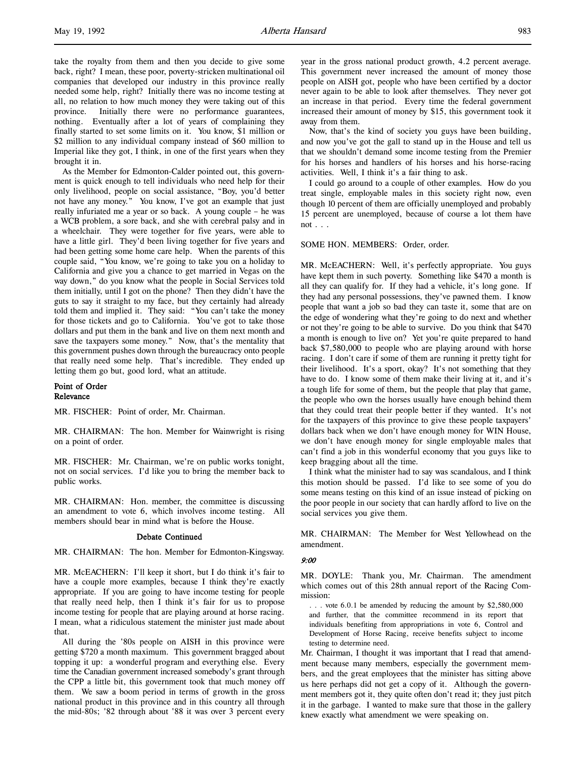take the royalty from them and then you decide to give some back, right? I mean, these poor, poverty-stricken multinational oil companies that developed our industry in this province really needed some help, right? Initially there was no income testing at all, no relation to how much money they were taking out of this province. Initially there were no performance guarantees, nothing. Eventually after a lot of years of complaining they finally started to set some limits on it. You know, \$1 million or \$2 million to any individual company instead of \$60 million to Imperial like they got, I think, in one of the first years when they brought it in.

As the Member for Edmonton-Calder pointed out, this government is quick enough to tell individuals who need help for their only livelihood, people on social assistance, "Boy, you'd better not have any money." You know, I've got an example that just really infuriated me a year or so back. A young couple – he was a WCB problem, a sore back, and she with cerebral palsy and in a wheelchair. They were together for five years, were able to have a little girl. They'd been living together for five years and had been getting some home care help. When the parents of this couple said, "You know, we're going to take you on a holiday to California and give you a chance to get married in Vegas on the way down," do you know what the people in Social Services told them initially, until I got on the phone? Then they didn't have the guts to say it straight to my face, but they certainly had already told them and implied it. They said: "You can't take the money for those tickets and go to California. You've got to take those dollars and put them in the bank and live on them next month and save the taxpayers some money." Now, that's the mentality that this government pushes down through the bureaucracy onto people that really need some help. That's incredible. They ended up letting them go but, good lord, what an attitude.

## Point of Order Relevance

MR. FISCHER: Point of order, Mr. Chairman.

MR. CHAIRMAN: The hon. Member for Wainwright is rising on a point of order.

MR. FISCHER: Mr. Chairman, we're on public works tonight, not on social services. I'd like you to bring the member back to public works.

MR. CHAIRMAN: Hon. member, the committee is discussing an amendment to vote 6, which involves income testing. All members should bear in mind what is before the House.

## Debate Continued

MR. CHAIRMAN: The hon. Member for Edmonton-Kingsway.

MR. McEACHERN: I'll keep it short, but I do think it's fair to have a couple more examples, because I think they're exactly appropriate. If you are going to have income testing for people that really need help, then I think it's fair for us to propose income testing for people that are playing around at horse racing. I mean, what a ridiculous statement the minister just made about that.

All during the '80s people on AISH in this province were getting \$720 a month maximum. This government bragged about topping it up: a wonderful program and everything else. Every time the Canadian government increased somebody's grant through the CPP a little bit, this government took that much money off them. We saw a boom period in terms of growth in the gross national product in this province and in this country all through the mid-80s; '82 through about '88 it was over 3 percent every

year in the gross national product growth, 4.2 percent average. This government never increased the amount of money those people on AISH got, people who have been certified by a doctor never again to be able to look after themselves. They never got an increase in that period. Every time the federal government increased their amount of money by \$15, this government took it away from them.

Now, that's the kind of society you guys have been building, and now you've got the gall to stand up in the House and tell us that we shouldn't demand some income testing from the Premier for his horses and handlers of his horses and his horse-racing activities. Well, I think it's a fair thing to ask.

I could go around to a couple of other examples. How do you treat single, employable males in this society right now, even though 10 percent of them are officially unemployed and probably 15 percent are unemployed, because of course a lot them have  $not \dots$ 

### SOME HON. MEMBERS: Order, order.

MR. McEACHERN: Well, it's perfectly appropriate. You guys have kept them in such poverty. Something like \$470 a month is all they can qualify for. If they had a vehicle, it's long gone. If they had any personal possessions, they've pawned them. I know people that want a job so bad they can taste it, some that are on the edge of wondering what they're going to do next and whether or not they're going to be able to survive. Do you think that \$470 a month is enough to live on? Yet you're quite prepared to hand back \$7,580,000 to people who are playing around with horse racing. I don't care if some of them are running it pretty tight for their livelihood. It's a sport, okay? It's not something that they have to do. I know some of them make their living at it, and it's a tough life for some of them, but the people that play that game, the people who own the horses usually have enough behind them that they could treat their people better if they wanted. It's not for the taxpayers of this province to give these people taxpayers' dollars back when we don't have enough money for WIN House, we don't have enough money for single employable males that can't find a job in this wonderful economy that you guys like to keep bragging about all the time.

I think what the minister had to say was scandalous, and I think this motion should be passed. I'd like to see some of you do some means testing on this kind of an issue instead of picking on the poor people in our society that can hardly afford to live on the social services you give them.

MR. CHAIRMAN: The Member for West Yellowhead on the amendment.

#### 9:00

MR. DOYLE: Thank you, Mr. Chairman. The amendment which comes out of this 28th annual report of the Racing Commission:

. . . vote 6.0.1 be amended by reducing the amount by \$2,580,000 and further, that the committee recommend in its report that individuals benefiting from appropriations in vote 6, Control and Development of Horse Racing, receive benefits subject to income testing to determine need.

Mr. Chairman, I thought it was important that I read that amendment because many members, especially the government members, and the great employees that the minister has sitting above us here perhaps did not get a copy of it. Although the government members got it, they quite often don't read it; they just pitch it in the garbage. I wanted to make sure that those in the gallery knew exactly what amendment we were speaking on.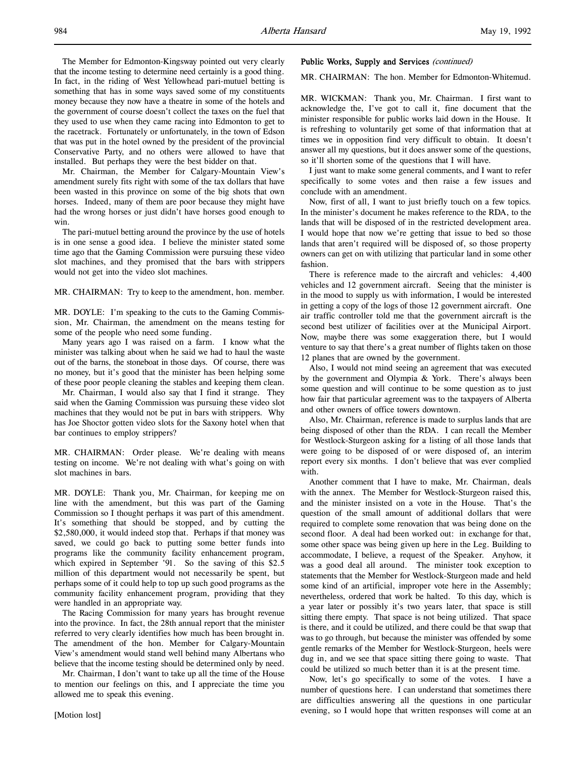The Member for Edmonton-Kingsway pointed out very clearly that the income testing to determine need certainly is a good thing. In fact, in the riding of West Yellowhead pari-mutuel betting is something that has in some ways saved some of my constituents money because they now have a theatre in some of the hotels and the government of course doesn't collect the taxes on the fuel that they used to use when they came racing into Edmonton to get to the racetrack. Fortunately or unfortunately, in the town of Edson that was put in the hotel owned by the president of the provincial Conservative Party, and no others were allowed to have that installed. But perhaps they were the best bidder on that.

Mr. Chairman, the Member for Calgary-Mountain View's amendment surely fits right with some of the tax dollars that have been wasted in this province on some of the big shots that own horses. Indeed, many of them are poor because they might have had the wrong horses or just didn't have horses good enough to win.

The pari-mutuel betting around the province by the use of hotels is in one sense a good idea. I believe the minister stated some time ago that the Gaming Commission were pursuing these video slot machines, and they promised that the bars with strippers would not get into the video slot machines.

MR. CHAIRMAN: Try to keep to the amendment, hon. member.

MR. DOYLE: I'm speaking to the cuts to the Gaming Commission, Mr. Chairman, the amendment on the means testing for some of the people who need some funding.

Many years ago I was raised on a farm. I know what the minister was talking about when he said we had to haul the waste out of the barns, the stoneboat in those days. Of course, there was no money, but it's good that the minister has been helping some of these poor people cleaning the stables and keeping them clean.

Mr. Chairman, I would also say that I find it strange. They said when the Gaming Commission was pursuing these video slot machines that they would not be put in bars with strippers. Why has Joe Shoctor gotten video slots for the Saxony hotel when that bar continues to employ strippers?

MR. CHAIRMAN: Order please. We're dealing with means testing on income. We're not dealing with what's going on with slot machines in bars.

MR. DOYLE: Thank you, Mr. Chairman, for keeping me on line with the amendment, but this was part of the Gaming Commission so I thought perhaps it was part of this amendment. It's something that should be stopped, and by cutting the \$2,580,000, it would indeed stop that. Perhaps if that money was saved, we could go back to putting some better funds into programs like the community facility enhancement program, which expired in September '91. So the saving of this \$2.5 million of this department would not necessarily be spent, but perhaps some of it could help to top up such good programs as the community facility enhancement program, providing that they were handled in an appropriate way.

The Racing Commission for many years has brought revenue into the province. In fact, the 28th annual report that the minister referred to very clearly identifies how much has been brought in. The amendment of the hon. Member for Calgary-Mountain View's amendment would stand well behind many Albertans who believe that the income testing should be determined only by need.

Mr. Chairman, I don't want to take up all the time of the House to mention our feelings on this, and I appreciate the time you allowed me to speak this evening.

## Public Works, Supply and Services (continued)

MR. CHAIRMAN: The hon. Member for Edmonton-Whitemud.

MR. WICKMAN: Thank you, Mr. Chairman. I first want to acknowledge the, I've got to call it, fine document that the minister responsible for public works laid down in the House. It is refreshing to voluntarily get some of that information that at times we in opposition find very difficult to obtain. It doesn't answer all my questions, but it does answer some of the questions, so it'll shorten some of the questions that I will have.

I just want to make some general comments, and I want to refer specifically to some votes and then raise a few issues and conclude with an amendment.

Now, first of all, I want to just briefly touch on a few topics. In the minister's document he makes reference to the RDA, to the lands that will be disposed of in the restricted development area. I would hope that now we're getting that issue to bed so those lands that aren't required will be disposed of, so those property owners can get on with utilizing that particular land in some other fashion.

There is reference made to the aircraft and vehicles: 4,400 vehicles and 12 government aircraft. Seeing that the minister is in the mood to supply us with information, I would be interested in getting a copy of the logs of those 12 government aircraft. One air traffic controller told me that the government aircraft is the second best utilizer of facilities over at the Municipal Airport. Now, maybe there was some exaggeration there, but I would venture to say that there's a great number of flights taken on those 12 planes that are owned by the government.

Also, I would not mind seeing an agreement that was executed by the government and Olympia & York. There's always been some question and will continue to be some question as to just how fair that particular agreement was to the taxpayers of Alberta and other owners of office towers downtown.

Also, Mr. Chairman, reference is made to surplus lands that are being disposed of other than the RDA. I can recall the Member for Westlock-Sturgeon asking for a listing of all those lands that were going to be disposed of or were disposed of, an interim report every six months. I don't believe that was ever complied with.

Another comment that I have to make, Mr. Chairman, deals with the annex. The Member for Westlock-Sturgeon raised this, and the minister insisted on a vote in the House. That's the question of the small amount of additional dollars that were required to complete some renovation that was being done on the second floor. A deal had been worked out: in exchange for that, some other space was being given up here in the Leg. Building to accommodate, I believe, a request of the Speaker. Anyhow, it was a good deal all around. The minister took exception to statements that the Member for Westlock-Sturgeon made and held some kind of an artificial, improper vote here in the Assembly; nevertheless, ordered that work be halted. To this day, which is a year later or possibly it's two years later, that space is still sitting there empty. That space is not being utilized. That space is there, and it could be utilized, and there could be that swap that was to go through, but because the minister was offended by some gentle remarks of the Member for Westlock-Sturgeon, heels were dug in, and we see that space sitting there going to waste. That could be utilized so much better than it is at the present time.

Now, let's go specifically to some of the votes. I have a number of questions here. I can understand that sometimes there are difficulties answering all the questions in one particular evening, so I would hope that written responses will come at an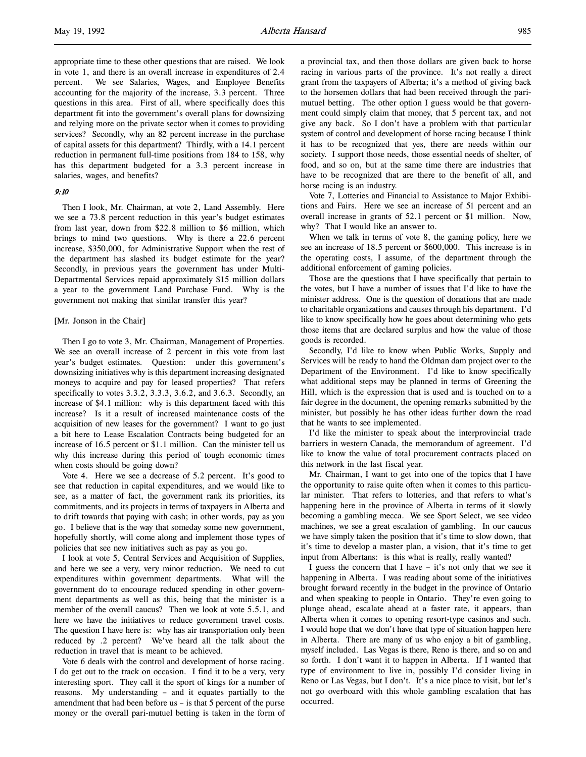l,

appropriate time to these other questions that are raised. We look in vote 1, and there is an overall increase in expenditures of 2.4 percent. We see Salaries, Wages, and Employee Benefits accounting for the majority of the increase, 3.3 percent. Three questions in this area. First of all, where specifically does this department fit into the government's overall plans for downsizing and relying more on the private sector when it comes to providing services? Secondly, why an 82 percent increase in the purchase of capital assets for this department? Thirdly, with a 14.1 percent reduction in permanent full-time positions from 184 to 158, why has this department budgeted for a 3.3 percent increase in salaries, wages, and benefits?

## 9:10

Then I look, Mr. Chairman, at vote 2, Land Assembly. Here we see a 73.8 percent reduction in this year's budget estimates from last year, down from \$22.8 million to \$6 million, which brings to mind two questions. Why is there a 22.6 percent increase, \$350,000, for Administrative Support when the rest of the department has slashed its budget estimate for the year? Secondly, in previous years the government has under Multi-Departmental Services repaid approximately \$15 million dollars a year to the government Land Purchase Fund. Why is the government not making that similar transfer this year?

## [Mr. Jonson in the Chair]

Then I go to vote 3, Mr. Chairman, Management of Properties. We see an overall increase of 2 percent in this vote from last year's budget estimates. Question: under this government's downsizing initiatives why is this department increasing designated moneys to acquire and pay for leased properties? That refers specifically to votes 3.3.2, 3.3.3, 3.6.2, and 3.6.3. Secondly, an increase of \$4.1 million: why is this department faced with this increase? Is it a result of increased maintenance costs of the acquisition of new leases for the government? I want to go just a bit here to Lease Escalation Contracts being budgeted for an increase of 16.5 percent or \$1.1 million. Can the minister tell us why this increase during this period of tough economic times when costs should be going down?

Vote 4. Here we see a decrease of 5.2 percent. It's good to see that reduction in capital expenditures, and we would like to see, as a matter of fact, the government rank its priorities, its commitments, and its projects in terms of taxpayers in Alberta and to drift towards that paying with cash; in other words, pay as you go. I believe that is the way that someday some new government, hopefully shortly, will come along and implement those types of policies that see new initiatives such as pay as you go.

I look at vote 5, Central Services and Acquisition of Supplies, and here we see a very, very minor reduction. We need to cut expenditures within government departments. What will the government do to encourage reduced spending in other government departments as well as this, being that the minister is a member of the overall caucus? Then we look at vote 5.5.1, and here we have the initiatives to reduce government travel costs. The question I have here is: why has air transportation only been reduced by .2 percent? We've heard all the talk about the reduction in travel that is meant to be achieved.

Vote 6 deals with the control and development of horse racing. I do get out to the track on occasion. I find it to be a very, very interesting sport. They call it the sport of kings for a number of reasons. My understanding – and it equates partially to the amendment that had been before us – is that 5 percent of the purse money or the overall pari-mutuel betting is taken in the form of a provincial tax, and then those dollars are given back to horse racing in various parts of the province. It's not really a direct grant from the taxpayers of Alberta; it's a method of giving back to the horsemen dollars that had been received through the parimutuel betting. The other option I guess would be that government could simply claim that money, that 5 percent tax, and not give any back. So I don't have a problem with that particular system of control and development of horse racing because I think it has to be recognized that yes, there are needs within our society. I support those needs, those essential needs of shelter, of food, and so on, but at the same time there are industries that have to be recognized that are there to the benefit of all, and horse racing is an industry.

Vote 7, Lotteries and Financial to Assistance to Major Exhibitions and Fairs. Here we see an increase of 51 percent and an overall increase in grants of 52.1 percent or \$1 million. Now, why? That I would like an answer to.

When we talk in terms of vote 8, the gaming policy, here we see an increase of 18.5 percent or \$600,000. This increase is in the operating costs, I assume, of the department through the additional enforcement of gaming policies.

Those are the questions that I have specifically that pertain to the votes, but I have a number of issues that I'd like to have the minister address. One is the question of donations that are made to charitable organizations and causes through his department. I'd like to know specifically how he goes about determining who gets those items that are declared surplus and how the value of those goods is recorded.

Secondly, I'd like to know when Public Works, Supply and Services will be ready to hand the Oldman dam project over to the Department of the Environment. I'd like to know specifically what additional steps may be planned in terms of Greening the Hill, which is the expression that is used and is touched on to a fair degree in the document, the opening remarks submitted by the minister, but possibly he has other ideas further down the road that he wants to see implemented.

I'd like the minister to speak about the interprovincial trade barriers in western Canada, the memorandum of agreement. I'd like to know the value of total procurement contracts placed on this network in the last fiscal year.

Mr. Chairman, I want to get into one of the topics that I have the opportunity to raise quite often when it comes to this particular minister. That refers to lotteries, and that refers to what's happening here in the province of Alberta in terms of it slowly becoming a gambling mecca. We see Sport Select, we see video machines, we see a great escalation of gambling. In our caucus we have simply taken the position that it's time to slow down, that it's time to develop a master plan, a vision, that it's time to get input from Albertans: is this what is really, really wanted?

I guess the concern that I have – it's not only that we see it happening in Alberta. I was reading about some of the initiatives brought forward recently in the budget in the province of Ontario and when speaking to people in Ontario. They're even going to plunge ahead, escalate ahead at a faster rate, it appears, than Alberta when it comes to opening resort-type casinos and such. I would hope that we don't have that type of situation happen here in Alberta. There are many of us who enjoy a bit of gambling, myself included. Las Vegas is there, Reno is there, and so on and so forth. I don't want it to happen in Alberta. If I wanted that type of environment to live in, possibly I'd consider living in Reno or Las Vegas, but I don't. It's a nice place to visit, but let's not go overboard with this whole gambling escalation that has occurred.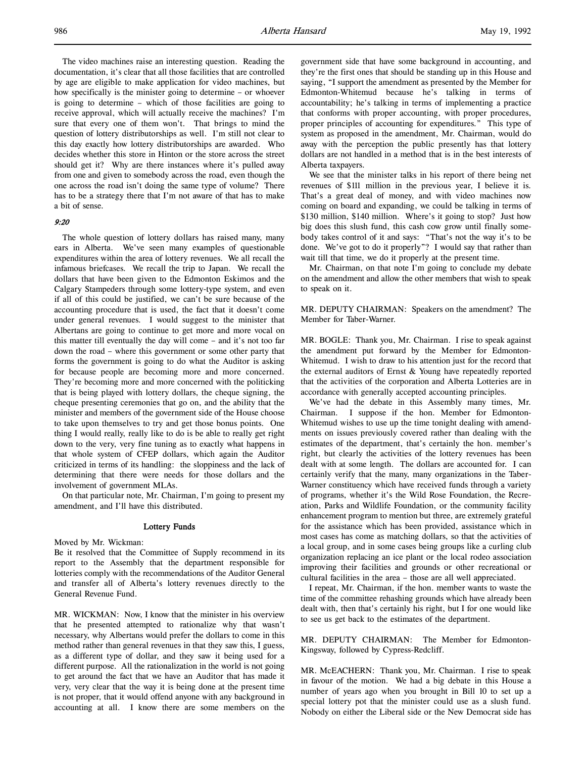The video machines raise an interesting question. Reading the documentation, it's clear that all those facilities that are controlled by age are eligible to make application for video machines, but how specifically is the minister going to determine – or whoever is going to determine – which of those facilities are going to receive approval, which will actually receive the machines? I'm sure that every one of them won't. That brings to mind the question of lottery distributorships as well. I'm still not clear to this day exactly how lottery distributorships are awarded. Who decides whether this store in Hinton or the store across the street should get it? Why are there instances where it's pulled away from one and given to somebody across the road, even though the one across the road isn't doing the same type of volume? There has to be a strategy there that I'm not aware of that has to make a bit of sense.

## 9:20

The whole question of lottery dollars has raised many, many ears in Alberta. We've seen many examples of questionable expenditures within the area of lottery revenues. We all recall the infamous briefcases. We recall the trip to Japan. We recall the dollars that have been given to the Edmonton Eskimos and the Calgary Stampeders through some lottery-type system, and even if all of this could be justified, we can't be sure because of the accounting procedure that is used, the fact that it doesn't come under general revenues. I would suggest to the minister that Albertans are going to continue to get more and more vocal on this matter till eventually the day will come – and it's not too far down the road – where this government or some other party that forms the government is going to do what the Auditor is asking for because people are becoming more and more concerned. They're becoming more and more concerned with the politicking that is being played with lottery dollars, the cheque signing, the cheque presenting ceremonies that go on, and the ability that the minister and members of the government side of the House choose to take upon themselves to try and get those bonus points. One thing I would really, really like to do is be able to really get right down to the very, very fine tuning as to exactly what happens in that whole system of CFEP dollars, which again the Auditor criticized in terms of its handling: the sloppiness and the lack of determining that there were needs for those dollars and the involvement of government MLAs.

On that particular note, Mr. Chairman, I'm going to present my amendment, and I'll have this distributed.

### Lottery Funds

Moved by Mr. Wickman:

Be it resolved that the Committee of Supply recommend in its report to the Assembly that the department responsible for lotteries comply with the recommendations of the Auditor General and transfer all of Alberta's lottery revenues directly to the General Revenue Fund.

MR. WICKMAN: Now, I know that the minister in his overview that he presented attempted to rationalize why that wasn't necessary, why Albertans would prefer the dollars to come in this method rather than general revenues in that they saw this, I guess, as a different type of dollar, and they saw it being used for a different purpose. All the rationalization in the world is not going to get around the fact that we have an Auditor that has made it very, very clear that the way it is being done at the present time is not proper, that it would offend anyone with any background in accounting at all. I know there are some members on the

government side that have some background in accounting, and they're the first ones that should be standing up in this House and saying, "I support the amendment as presented by the Member for Edmonton-Whitemud because he's talking in terms of accountability; he's talking in terms of implementing a practice that conforms with proper accounting, with proper procedures, proper principles of accounting for expenditures." This type of system as proposed in the amendment, Mr. Chairman, would do away with the perception the public presently has that lottery dollars are not handled in a method that is in the best interests of Alberta taxpayers.

We see that the minister talks in his report of there being net revenues of \$111 million in the previous year, I believe it is. That's a great deal of money, and with video machines now coming on board and expanding, we could be talking in terms of \$130 million, \$140 million. Where's it going to stop? Just how big does this slush fund, this cash cow grow until finally somebody takes control of it and says: "That's not the way it's to be done. We've got to do it properly"? I would say that rather than wait till that time, we do it properly at the present time.

Mr. Chairman, on that note I'm going to conclude my debate on the amendment and allow the other members that wish to speak to speak on it.

MR. DEPUTY CHAIRMAN: Speakers on the amendment? The Member for Taber-Warner.

MR. BOGLE: Thank you, Mr. Chairman. I rise to speak against the amendment put forward by the Member for Edmonton-Whitemud. I wish to draw to his attention just for the record that the external auditors of Ernst & Young have repeatedly reported that the activities of the corporation and Alberta Lotteries are in accordance with generally accepted accounting principles.

We've had the debate in this Assembly many times, Mr. Chairman. I suppose if the hon. Member for Edmonton-Whitemud wishes to use up the time tonight dealing with amendments on issues previously covered rather than dealing with the estimates of the department, that's certainly the hon. member's right, but clearly the activities of the lottery revenues has been dealt with at some length. The dollars are accounted for. I can certainly verify that the many, many organizations in the Taber-Warner constituency which have received funds through a variety of programs, whether it's the Wild Rose Foundation, the Recreation, Parks and Wildlife Foundation, or the community facility enhancement program to mention but three, are extremely grateful for the assistance which has been provided, assistance which in most cases has come as matching dollars, so that the activities of a local group, and in some cases being groups like a curling club organization replacing an ice plant or the local rodeo association improving their facilities and grounds or other recreational or cultural facilities in the area – those are all well appreciated.

I repeat, Mr. Chairman, if the hon. member wants to waste the time of the committee rehashing grounds which have already been dealt with, then that's certainly his right, but I for one would like to see us get back to the estimates of the department.

MR. DEPUTY CHAIRMAN: The Member for Edmonton-Kingsway, followed by Cypress-Redcliff.

MR. McEACHERN: Thank you, Mr. Chairman. I rise to speak in favour of the motion. We had a big debate in this House a number of years ago when you brought in Bill 10 to set up a special lottery pot that the minister could use as a slush fund. Nobody on either the Liberal side or the New Democrat side has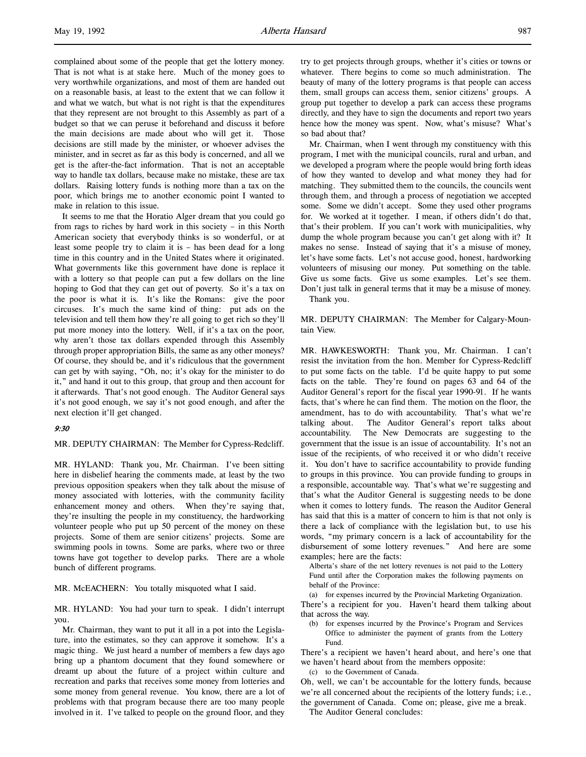complained about some of the people that get the lottery money. That is not what is at stake here. Much of the money goes to very worthwhile organizations, and most of them are handed out on a reasonable basis, at least to the extent that we can follow it and what we watch, but what is not right is that the expenditures that they represent are not brought to this Assembly as part of a budget so that we can peruse it beforehand and discuss it before the main decisions are made about who will get it. Those decisions are still made by the minister, or whoever advises the minister, and in secret as far as this body is concerned, and all we get is the after-the-fact information. That is not an acceptable way to handle tax dollars, because make no mistake, these are tax dollars. Raising lottery funds is nothing more than a tax on the poor, which brings me to another economic point I wanted to make in relation to this issue.

It seems to me that the Horatio Alger dream that you could go from rags to riches by hard work in this society – in this North American society that everybody thinks is so wonderful, or at least some people try to claim it is – has been dead for a long time in this country and in the United States where it originated. What governments like this government have done is replace it with a lottery so that people can put a few dollars on the line hoping to God that they can get out of poverty. So it's a tax on the poor is what it is. It's like the Romans: give the poor circuses. It's much the same kind of thing: put ads on the television and tell them how they're all going to get rich so they'll put more money into the lottery. Well, if it's a tax on the poor, why aren't those tax dollars expended through this Assembly through proper appropriation Bills, the same as any other moneys? Of course, they should be, and it's ridiculous that the government can get by with saying, "Oh, no; it's okay for the minister to do it," and hand it out to this group, that group and then account for it afterwards. That's not good enough. The Auditor General says it's not good enough, we say it's not good enough, and after the next election it'll get changed.

# 9:30

MR. DEPUTY CHAIRMAN: The Member for Cypress-Redcliff.

MR. HYLAND: Thank you, Mr. Chairman. I've been sitting here in disbelief hearing the comments made, at least by the two previous opposition speakers when they talk about the misuse of money associated with lotteries, with the community facility enhancement money and others. When they're saying that, they're insulting the people in my constituency, the hardworking volunteer people who put up 50 percent of the money on these projects. Some of them are senior citizens' projects. Some are swimming pools in towns. Some are parks, where two or three towns have got together to develop parks. There are a whole bunch of different programs.

MR. McEACHERN: You totally misquoted what I said.

MR. HYLAND: You had your turn to speak. I didn't interrupt you.

Mr. Chairman, they want to put it all in a pot into the Legislature, into the estimates, so they can approve it somehow. It's a magic thing. We just heard a number of members a few days ago bring up a phantom document that they found somewhere or dreamt up about the future of a project within culture and recreation and parks that receives some money from lotteries and some money from general revenue. You know, there are a lot of problems with that program because there are too many people involved in it. I've talked to people on the ground floor, and they

try to get projects through groups, whether it's cities or towns or whatever. There begins to come so much administration. The beauty of many of the lottery programs is that people can access them, small groups can access them, senior citizens' groups. A group put together to develop a park can access these programs directly, and they have to sign the documents and report two years hence how the money was spent. Now, what's misuse? What's so bad about that?

Mr. Chairman, when I went through my constituency with this program, I met with the municipal councils, rural and urban, and we developed a program where the people would bring forth ideas of how they wanted to develop and what money they had for matching. They submitted them to the councils, the councils went through them, and through a process of negotiation we accepted some. Some we didn't accept. Some they used other programs for. We worked at it together. I mean, if others didn't do that, that's their problem. If you can't work with municipalities, why dump the whole program because you can't get along with it? It makes no sense. Instead of saying that it's a misuse of money, let's have some facts. Let's not accuse good, honest, hardworking volunteers of misusing our money. Put something on the table. Give us some facts. Give us some examples. Let's see them. Don't just talk in general terms that it may be a misuse of money. Thank you.

MR. DEPUTY CHAIRMAN: The Member for Calgary-Mountain View.

MR. HAWKESWORTH: Thank you, Mr. Chairman. I can't resist the invitation from the hon. Member for Cypress-Redcliff to put some facts on the table. I'd be quite happy to put some facts on the table. They're found on pages 63 and 64 of the Auditor General's report for the fiscal year 1990-91. If he wants facts, that's where he can find them. The motion on the floor, the amendment, has to do with accountability. That's what we're talking about. The Auditor General's report talks about accountability. The New Democrats are suggesting to the government that the issue is an issue of accountability. It's not an issue of the recipients, of who received it or who didn't receive it. You don't have to sacrifice accountability to provide funding to groups in this province. You can provide funding to groups in a responsible, accountable way. That's what we're suggesting and that's what the Auditor General is suggesting needs to be done when it comes to lottery funds. The reason the Auditor General has said that this is a matter of concern to him is that not only is there a lack of compliance with the legislation but, to use his words, "my primary concern is a lack of accountability for the disbursement of some lottery revenues." And here are some examples; here are the facts:

Alberta's share of the net lottery revenues is not paid to the Lottery Fund until after the Corporation makes the following payments on behalf of the Province:

(a) for expenses incurred by the Provincial Marketing Organization. There's a recipient for you. Haven't heard them talking about that across the way.

(b) for expenses incurred by the Province's Program and Services Office to administer the payment of grants from the Lottery Fund.

There's a recipient we haven't heard about, and here's one that we haven't heard about from the members opposite:

(c) to the Government of Canada.

Oh, well, we can't be accountable for the lottery funds, because we're all concerned about the recipients of the lottery funds; i.e., the government of Canada. Come on; please, give me a break.

The Auditor General concludes: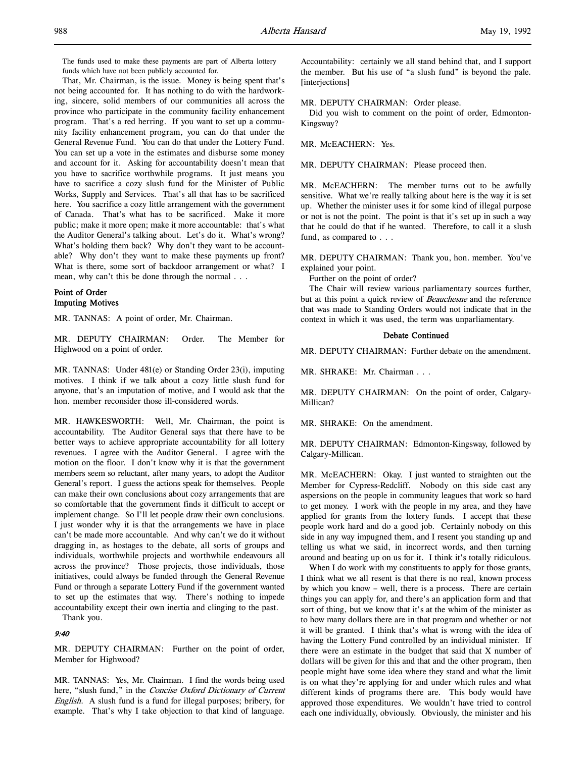The funds used to make these payments are part of Alberta lottery funds which have not been publicly accounted for.

That, Mr. Chairman, is the issue. Money is being spent that's not being accounted for. It has nothing to do with the hardworking, sincere, solid members of our communities all across the province who participate in the community facility enhancement program. That's a red herring. If you want to set up a community facility enhancement program, you can do that under the General Revenue Fund. You can do that under the Lottery Fund. You can set up a vote in the estimates and disburse some money and account for it. Asking for accountability doesn't mean that you have to sacrifice worthwhile programs. It just means you have to sacrifice a cozy slush fund for the Minister of Public Works, Supply and Services. That's all that has to be sacrificed here. You sacrifice a cozy little arrangement with the government of Canada. That's what has to be sacrificed. Make it more public; make it more open; make it more accountable: that's what the Auditor General's talking about. Let's do it. What's wrong? What's holding them back? Why don't they want to be accountable? Why don't they want to make these payments up front? What is there, some sort of backdoor arrangement or what? I mean, why can't this be done through the normal . . .

# Point of Order Imputing Motives

MR. TANNAS: A point of order, Mr. Chairman.

MR. DEPUTY CHAIRMAN: Order. The Member for Highwood on a point of order.

MR. TANNAS: Under 481(e) or Standing Order 23(i), imputing motives. I think if we talk about a cozy little slush fund for anyone, that's an imputation of motive, and I would ask that the hon. member reconsider those ill-considered words.

MR. HAWKESWORTH: Well, Mr. Chairman, the point is accountability. The Auditor General says that there have to be better ways to achieve appropriate accountability for all lottery revenues. I agree with the Auditor General. I agree with the motion on the floor. I don't know why it is that the government members seem so reluctant, after many years, to adopt the Auditor General's report. I guess the actions speak for themselves. People can make their own conclusions about cozy arrangements that are so comfortable that the government finds it difficult to accept or implement change. So I'll let people draw their own conclusions. I just wonder why it is that the arrangements we have in place can't be made more accountable. And why can't we do it without dragging in, as hostages to the debate, all sorts of groups and individuals, worthwhile projects and worthwhile endeavours all across the province? Those projects, those individuals, those initiatives, could always be funded through the General Revenue Fund or through a separate Lottery Fund if the government wanted to set up the estimates that way. There's nothing to impede accountability except their own inertia and clinging to the past.

Thank you.

# 9:40

MR. DEPUTY CHAIRMAN: Further on the point of order, Member for Highwood?

MR. TANNAS: Yes, Mr. Chairman. I find the words being used here, "slush fund," in the Concise Oxford Dictionary of Current English. A slush fund is a fund for illegal purposes; bribery, for example. That's why I take objection to that kind of language.

Accountability: certainly we all stand behind that, and I support the member. But his use of "a slush fund" is beyond the pale. [interjections]

### MR. DEPUTY CHAIRMAN: Order please.

Did you wish to comment on the point of order, Edmonton-Kingsway?

MR. McEACHERN: Yes.

MR. DEPUTY CHAIRMAN: Please proceed then.

MR. McEACHERN: The member turns out to be awfully sensitive. What we're really talking about here is the way it is set up. Whether the minister uses it for some kind of illegal purpose or not is not the point. The point is that it's set up in such a way that he could do that if he wanted. Therefore, to call it a slush fund, as compared to . . .

MR. DEPUTY CHAIRMAN: Thank you, hon. member. You've explained your point.

Further on the point of order?

The Chair will review various parliamentary sources further, but at this point a quick review of Beauchesne and the reference that was made to Standing Orders would not indicate that in the context in which it was used, the term was unparliamentary.

## Debate Continued

MR. DEPUTY CHAIRMAN: Further debate on the amendment.

MR. SHRAKE: Mr. Chairman . . .

MR. DEPUTY CHAIRMAN: On the point of order, Calgary-Millican?

MR. SHRAKE: On the amendment.

MR. DEPUTY CHAIRMAN: Edmonton-Kingsway, followed by Calgary-Millican.

MR. McEACHERN: Okay. I just wanted to straighten out the Member for Cypress-Redcliff. Nobody on this side cast any aspersions on the people in community leagues that work so hard to get money. I work with the people in my area, and they have applied for grants from the lottery funds. I accept that these people work hard and do a good job. Certainly nobody on this side in any way impugned them, and I resent you standing up and telling us what we said, in incorrect words, and then turning around and beating up on us for it. I think it's totally ridiculous.

When I do work with my constituents to apply for those grants, I think what we all resent is that there is no real, known process by which you know – well, there is a process. There are certain things you can apply for, and there's an application form and that sort of thing, but we know that it's at the whim of the minister as to how many dollars there are in that program and whether or not it will be granted. I think that's what is wrong with the idea of having the Lottery Fund controlled by an individual minister. If there were an estimate in the budget that said that X number of dollars will be given for this and that and the other program, then people might have some idea where they stand and what the limit is on what they're applying for and under which rules and what different kinds of programs there are. This body would have approved those expenditures. We wouldn't have tried to control each one individually, obviously. Obviously, the minister and his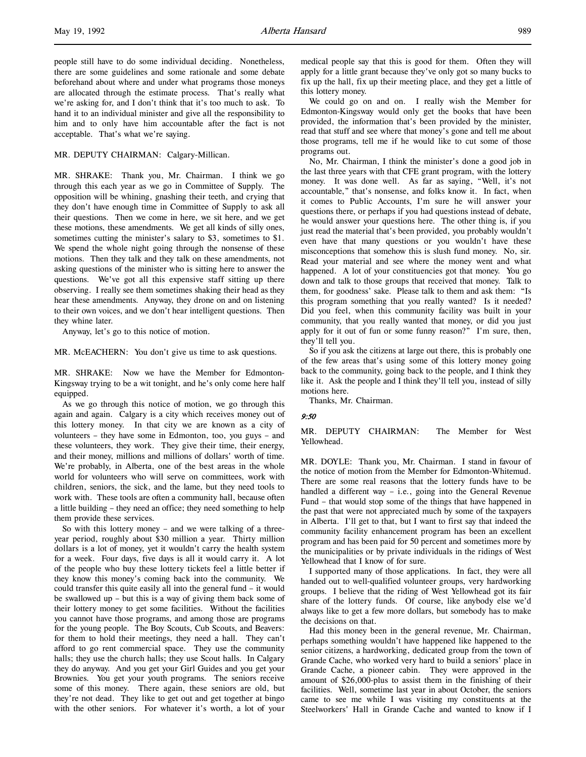people still have to do some individual deciding. Nonetheless, there are some guidelines and some rationale and some debate beforehand about where and under what programs those moneys are allocated through the estimate process. That's really what we're asking for, and I don't think that it's too much to ask. To hand it to an individual minister and give all the responsibility to him and to only have him accountable after the fact is not acceptable. That's what we're saying.

## MR. DEPUTY CHAIRMAN: Calgary-Millican.

MR. SHRAKE: Thank you, Mr. Chairman. I think we go through this each year as we go in Committee of Supply. The opposition will be whining, gnashing their teeth, and crying that they don't have enough time in Committee of Supply to ask all their questions. Then we come in here, we sit here, and we get these motions, these amendments. We get all kinds of silly ones, sometimes cutting the minister's salary to \$3, sometimes to \$1. We spend the whole night going through the nonsense of these motions. Then they talk and they talk on these amendments, not asking questions of the minister who is sitting here to answer the questions. We've got all this expensive staff sitting up there observing. I really see them sometimes shaking their head as they hear these amendments. Anyway, they drone on and on listening to their own voices, and we don't hear intelligent questions. Then they whine later.

Anyway, let's go to this notice of motion.

MR. McEACHERN: You don't give us time to ask questions.

MR. SHRAKE: Now we have the Member for Edmonton-Kingsway trying to be a wit tonight, and he's only come here half equipped.

As we go through this notice of motion, we go through this again and again. Calgary is a city which receives money out of this lottery money. In that city we are known as a city of volunteers – they have some in Edmonton, too, you guys – and these volunteers, they work. They give their time, their energy, and their money, millions and millions of dollars' worth of time. We're probably, in Alberta, one of the best areas in the whole world for volunteers who will serve on committees, work with children, seniors, the sick, and the lame, but they need tools to work with. These tools are often a community hall, because often a little building – they need an office; they need something to help them provide these services.

So with this lottery money – and we were talking of a threeyear period, roughly about \$30 million a year. Thirty million dollars is a lot of money, yet it wouldn't carry the health system for a week. Four days, five days is all it would carry it. A lot of the people who buy these lottery tickets feel a little better if they know this money's coming back into the community. We could transfer this quite easily all into the general fund – it would be swallowed up – but this is a way of giving them back some of their lottery money to get some facilities. Without the facilities you cannot have those programs, and among those are programs for the young people. The Boy Scouts, Cub Scouts, and Beavers: for them to hold their meetings, they need a hall. They can't afford to go rent commercial space. They use the community halls; they use the church halls; they use Scout halls. In Calgary they do anyway. And you get your Girl Guides and you get your Brownies. You get your youth programs. The seniors receive some of this money. There again, these seniors are old, but they're not dead. They like to get out and get together at bingo with the other seniors. For whatever it's worth, a lot of your

medical people say that this is good for them. Often they will apply for a little grant because they've only got so many bucks to fix up the hall, fix up their meeting place, and they get a little of this lottery money.

We could go on and on. I really wish the Member for Edmonton-Kingsway would only get the books that have been provided, the information that's been provided by the minister, read that stuff and see where that money's gone and tell me about those programs, tell me if he would like to cut some of those programs out.

No, Mr. Chairman, I think the minister's done a good job in the last three years with that CFE grant program, with the lottery money. It was done well. As far as saying, "Well, it's not accountable," that's nonsense, and folks know it. In fact, when it comes to Public Accounts, I'm sure he will answer your questions there, or perhaps if you had questions instead of debate, he would answer your questions here. The other thing is, if you just read the material that's been provided, you probably wouldn't even have that many questions or you wouldn't have these misconceptions that somehow this is slush fund money. No, sir. Read your material and see where the money went and what happened. A lot of your constituencies got that money. You go down and talk to those groups that received that money. Talk to them, for goodness' sake. Please talk to them and ask them: "Is this program something that you really wanted? Is it needed? Did you feel, when this community facility was built in your community, that you really wanted that money, or did you just apply for it out of fun or some funny reason?" I'm sure, then, they'll tell you.

So if you ask the citizens at large out there, this is probably one of the few areas that's using some of this lottery money going back to the community, going back to the people, and I think they like it. Ask the people and I think they'll tell you, instead of silly motions here.

Thanks, Mr. Chairman.

#### 9:50

MR. DEPUTY CHAIRMAN: The Member for West Yellowhead.

MR. DOYLE: Thank you, Mr. Chairman. I stand in favour of the notice of motion from the Member for Edmonton-Whitemud. There are some real reasons that the lottery funds have to be handled a different way – i.e., going into the General Revenue Fund – that would stop some of the things that have happened in the past that were not appreciated much by some of the taxpayers in Alberta. I'll get to that, but I want to first say that indeed the community facility enhancement program has been an excellent program and has been paid for 50 percent and sometimes more by the municipalities or by private individuals in the ridings of West Yellowhead that I know of for sure.

I supported many of those applications. In fact, they were all handed out to well-qualified volunteer groups, very hardworking groups. I believe that the riding of West Yellowhead got its fair share of the lottery funds. Of course, like anybody else we'd always like to get a few more dollars, but somebody has to make the decisions on that.

Had this money been in the general revenue, Mr. Chairman, perhaps something wouldn't have happened like happened to the senior citizens, a hardworking, dedicated group from the town of Grande Cache, who worked very hard to build a seniors' place in Grande Cache, a pioneer cabin. They were approved in the amount of \$26,000-plus to assist them in the finishing of their facilities. Well, sometime last year in about October, the seniors came to see me while I was visiting my constituents at the Steelworkers' Hall in Grande Cache and wanted to know if I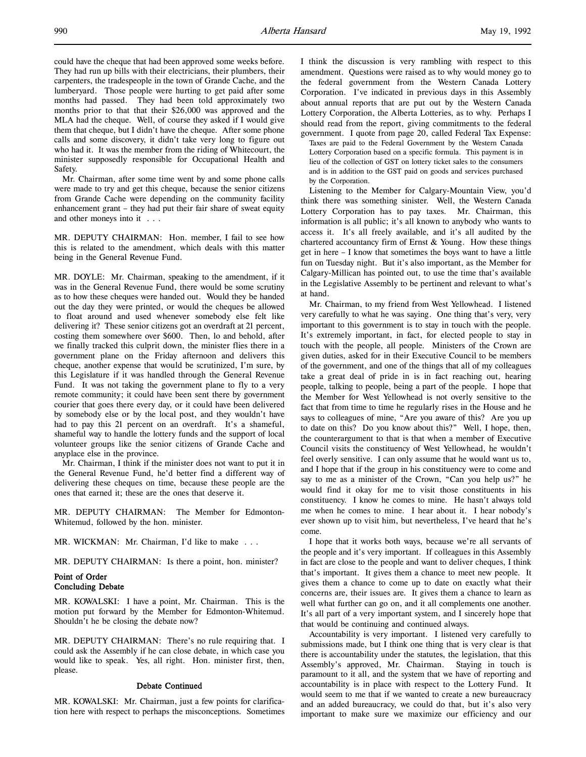could have the cheque that had been approved some weeks before. They had run up bills with their electricians, their plumbers, their carpenters, the tradespeople in the town of Grande Cache, and the lumberyard. Those people were hurting to get paid after some months had passed. They had been told approximately two months prior to that that their \$26,000 was approved and the MLA had the cheque. Well, of course they asked if I would give them that cheque, but I didn't have the cheque. After some phone calls and some discovery, it didn't take very long to figure out who had it. It was the member from the riding of Whitecourt, the minister supposedly responsible for Occupational Health and Safety.

Mr. Chairman, after some time went by and some phone calls were made to try and get this cheque, because the senior citizens from Grande Cache were depending on the community facility enhancement grant – they had put their fair share of sweat equity and other moneys into it . . .

MR. DEPUTY CHAIRMAN: Hon. member, I fail to see how this is related to the amendment, which deals with this matter being in the General Revenue Fund.

MR. DOYLE: Mr. Chairman, speaking to the amendment, if it was in the General Revenue Fund, there would be some scrutiny as to how these cheques were handed out. Would they be handed out the day they were printed, or would the cheques be allowed to float around and used whenever somebody else felt like delivering it? These senior citizens got an overdraft at 21 percent, costing them somewhere over \$600. Then, lo and behold, after we finally tracked this culprit down, the minister flies there in a government plane on the Friday afternoon and delivers this cheque, another expense that would be scrutinized, I'm sure, by this Legislature if it was handled through the General Revenue Fund. It was not taking the government plane to fly to a very remote community; it could have been sent there by government courier that goes there every day, or it could have been delivered by somebody else or by the local post, and they wouldn't have had to pay this 21 percent on an overdraft. It's a shameful, shameful way to handle the lottery funds and the support of local volunteer groups like the senior citizens of Grande Cache and anyplace else in the province.

Mr. Chairman, I think if the minister does not want to put it in the General Revenue Fund, he'd better find a different way of delivering these cheques on time, because these people are the ones that earned it; these are the ones that deserve it.

MR. DEPUTY CHAIRMAN: The Member for Edmonton-Whitemud, followed by the hon. minister.

MR. WICKMAN: Mr. Chairman, I'd like to make . . .

MR. DEPUTY CHAIRMAN: Is there a point, hon. minister?

## Point of Order Concluding Debate

MR. KOWALSKI: I have a point, Mr. Chairman. This is the motion put forward by the Member for Edmonton-Whitemud. Shouldn't he be closing the debate now?

MR. DEPUTY CHAIRMAN: There's no rule requiring that. I could ask the Assembly if he can close debate, in which case you would like to speak. Yes, all right. Hon. minister first, then, please.

#### Debate Continued

MR. KOWALSKI: Mr. Chairman, just a few points for clarification here with respect to perhaps the misconceptions. Sometimes I think the discussion is very rambling with respect to this amendment. Questions were raised as to why would money go to the federal government from the Western Canada Lottery Corporation. I've indicated in previous days in this Assembly about annual reports that are put out by the Western Canada Lottery Corporation, the Alberta Lotteries, as to why. Perhaps I should read from the report, giving commitments to the federal government. I quote from page 20, called Federal Tax Expense:

Taxes are paid to the Federal Government by the Western Canada Lottery Corporation based on a specific formula. This payment is in lieu of the collection of GST on lottery ticket sales to the consumers and is in addition to the GST paid on goods and services purchased by the Corporation.

Listening to the Member for Calgary-Mountain View, you'd think there was something sinister. Well, the Western Canada Lottery Corporation has to pay taxes. Mr. Chairman, this information is all public; it's all known to anybody who wants to access it. It's all freely available, and it's all audited by the chartered accountancy firm of Ernst & Young. How these things get in here – I know that sometimes the boys want to have a little fun on Tuesday night. But it's also important, as the Member for Calgary-Millican has pointed out, to use the time that's available in the Legislative Assembly to be pertinent and relevant to what's at hand.

Mr. Chairman, to my friend from West Yellowhead. I listened very carefully to what he was saying. One thing that's very, very important to this government is to stay in touch with the people. It's extremely important, in fact, for elected people to stay in touch with the people, all people. Ministers of the Crown are given duties, asked for in their Executive Council to be members of the government, and one of the things that all of my colleagues take a great deal of pride in is in fact reaching out, hearing people, talking to people, being a part of the people. I hope that the Member for West Yellowhead is not overly sensitive to the fact that from time to time he regularly rises in the House and he says to colleagues of mine, "Are you aware of this? Are you up to date on this? Do you know about this?" Well, I hope, then, the counterargument to that is that when a member of Executive Council visits the constituency of West Yellowhead, he wouldn't feel overly sensitive. I can only assume that he would want us to, and I hope that if the group in his constituency were to come and say to me as a minister of the Crown, "Can you help us?" he would find it okay for me to visit those constituents in his constituency. I know he comes to mine. He hasn't always told me when he comes to mine. I hear about it. I hear nobody's ever shown up to visit him, but nevertheless, I've heard that he's come.

I hope that it works both ways, because we're all servants of the people and it's very important. If colleagues in this Assembly in fact are close to the people and want to deliver cheques, I think that's important. It gives them a chance to meet new people. It gives them a chance to come up to date on exactly what their concerns are, their issues are. It gives them a chance to learn as well what further can go on, and it all complements one another. It's all part of a very important system, and I sincerely hope that that would be continuing and continued always.

Accountability is very important. I listened very carefully to submissions made, but I think one thing that is very clear is that there is accountability under the statutes, the legislation, that this Assembly's approved, Mr. Chairman. Staying in touch is paramount to it all, and the system that we have of reporting and accountability is in place with respect to the Lottery Fund. It would seem to me that if we wanted to create a new bureaucracy and an added bureaucracy, we could do that, but it's also very important to make sure we maximize our efficiency and our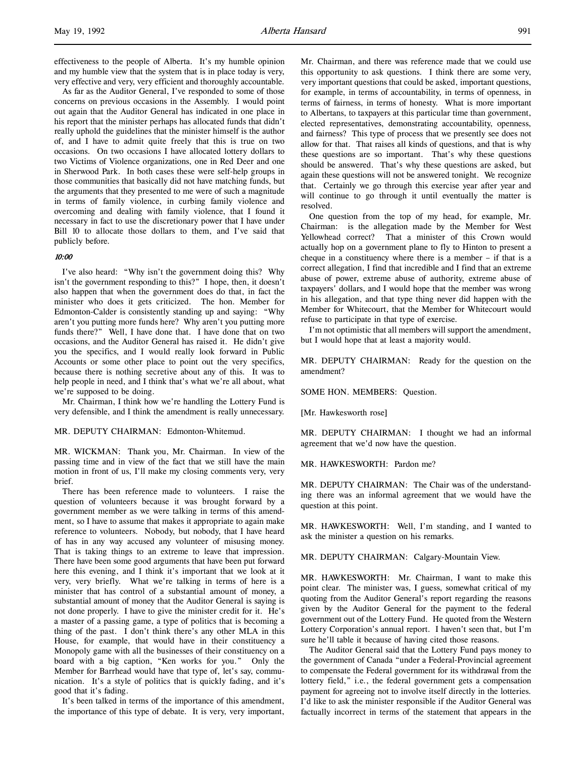effectiveness to the people of Alberta. It's my humble opinion and my humble view that the system that is in place today is very, very effective and very, very efficient and thoroughly accountable.

As far as the Auditor General, I've responded to some of those concerns on previous occasions in the Assembly. I would point out again that the Auditor General has indicated in one place in his report that the minister perhaps has allocated funds that didn't really uphold the guidelines that the minister himself is the author of, and I have to admit quite freely that this is true on two occasions. On two occasions I have allocated lottery dollars to two Victims of Violence organizations, one in Red Deer and one in Sherwood Park. In both cases these were self-help groups in those communities that basically did not have matching funds, but the arguments that they presented to me were of such a magnitude in terms of family violence, in curbing family violence and overcoming and dealing with family violence, that I found it necessary in fact to use the discretionary power that I have under Bill 10 to allocate those dollars to them, and I've said that publicly before.

### 10:00

I've also heard: "Why isn't the government doing this? Why isn't the government responding to this?" I hope, then, it doesn't also happen that when the government does do that, in fact the minister who does it gets criticized. The hon. Member for Edmonton-Calder is consistently standing up and saying: "Why aren't you putting more funds here? Why aren't you putting more funds there?" Well, I have done that. I have done that on two occasions, and the Auditor General has raised it. He didn't give you the specifics, and I would really look forward in Public Accounts or some other place to point out the very specifics, because there is nothing secretive about any of this. It was to help people in need, and I think that's what we're all about, what we're supposed to be doing.

Mr. Chairman, I think how we're handling the Lottery Fund is very defensible, and I think the amendment is really unnecessary.

# MR. DEPUTY CHAIRMAN: Edmonton-Whitemud.

MR. WICKMAN: Thank you, Mr. Chairman. In view of the passing time and in view of the fact that we still have the main motion in front of us, I'll make my closing comments very, very brief.

There has been reference made to volunteers. I raise the question of volunteers because it was brought forward by a government member as we were talking in terms of this amendment, so I have to assume that makes it appropriate to again make reference to volunteers. Nobody, but nobody, that I have heard of has in any way accused any volunteer of misusing money. That is taking things to an extreme to leave that impression. There have been some good arguments that have been put forward here this evening, and I think it's important that we look at it very, very briefly. What we're talking in terms of here is a minister that has control of a substantial amount of money, a substantial amount of money that the Auditor General is saying is not done properly. I have to give the minister credit for it. He's a master of a passing game, a type of politics that is becoming a thing of the past. I don't think there's any other MLA in this House, for example, that would have in their constituency a Monopoly game with all the businesses of their constituency on a board with a big caption, "Ken works for you." Only the Member for Barrhead would have that type of, let's say, communication. It's a style of politics that is quickly fading, and it's good that it's fading.

It's been talked in terms of the importance of this amendment, the importance of this type of debate. It is very, very important, Mr. Chairman, and there was reference made that we could use this opportunity to ask questions. I think there are some very, very important questions that could be asked, important questions, for example, in terms of accountability, in terms of openness, in terms of fairness, in terms of honesty. What is more important to Albertans, to taxpayers at this particular time than government, elected representatives, demonstrating accountability, openness, and fairness? This type of process that we presently see does not allow for that. That raises all kinds of questions, and that is why these questions are so important. That's why these questions should be answered. That's why these questions are asked, but again these questions will not be answered tonight. We recognize that. Certainly we go through this exercise year after year and will continue to go through it until eventually the matter is resolved.

One question from the top of my head, for example, Mr. Chairman: is the allegation made by the Member for West Yellowhead correct? That a minister of this Crown would actually hop on a government plane to fly to Hinton to present a cheque in a constituency where there is a member – if that is a correct allegation, I find that incredible and I find that an extreme abuse of power, extreme abuse of authority, extreme abuse of taxpayers' dollars, and I would hope that the member was wrong in his allegation, and that type thing never did happen with the Member for Whitecourt, that the Member for Whitecourt would refuse to participate in that type of exercise.

I'm not optimistic that all members will support the amendment, but I would hope that at least a majority would.

MR. DEPUTY CHAIRMAN: Ready for the question on the amendment?

SOME HON. MEMBERS: Question.

[Mr. Hawkesworth rose]

MR. DEPUTY CHAIRMAN: I thought we had an informal agreement that we'd now have the question.

MR. HAWKESWORTH: Pardon me?

MR. DEPUTY CHAIRMAN: The Chair was of the understanding there was an informal agreement that we would have the question at this point.

MR. HAWKESWORTH: Well, I'm standing, and I wanted to ask the minister a question on his remarks.

MR. DEPUTY CHAIRMAN: Calgary-Mountain View.

MR. HAWKESWORTH: Mr. Chairman, I want to make this point clear. The minister was, I guess, somewhat critical of my quoting from the Auditor General's report regarding the reasons given by the Auditor General for the payment to the federal government out of the Lottery Fund. He quoted from the Western Lottery Corporation's annual report. I haven't seen that, but I'm sure he'll table it because of having cited those reasons.

The Auditor General said that the Lottery Fund pays money to the government of Canada "under a Federal-Provincial agreement to compensate the Federal government for its withdrawal from the lottery field," i.e., the federal government gets a compensation payment for agreeing not to involve itself directly in the lotteries. I'd like to ask the minister responsible if the Auditor General was factually incorrect in terms of the statement that appears in the